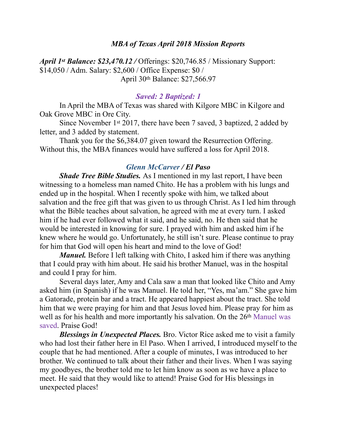### *MBA of Texas April 2018 Mission Reports*

*April 1st Balance: \$23,470.12 /* Offerings: \$20,746.85 / Missionary Support: \$14,050 / Adm. Salary: \$2,600 / Office Expense: \$0 / April 30th Balance: \$27,566.97

#### *Saved: 2 Baptized: 1*

 In April the MBA of Texas was shared with Kilgore MBC in Kilgore and Oak Grove MBC in Ore City.

 Since November 1st 2017, there have been 7 saved, 3 baptized, 2 added by letter, and 3 added by statement.

 Thank you for the \$6,384.07 given toward the Resurrection Offering. Without this, the MBA finances would have suffered a loss for April 2018.

#### *Glenn McCarver / El Paso*

*Shade Tree Bible Studies.* As I mentioned in my last report, I have been witnessing to a homeless man named Chito. He has a problem with his lungs and ended up in the hospital. When I recently spoke with him, we talked about salvation and the free gift that was given to us through Christ. As I led him through what the Bible teaches about salvation, he agreed with me at every turn. I asked him if he had ever followed what it said, and he said, no. He then said that he would be interested in knowing for sure. I prayed with him and asked him if he knew where he would go. Unfortunately, he still isn't sure. Please continue to pray for him that God will open his heart and mind to the love of God!

*Manuel*. Before I left talking with Chito, I asked him if there was anything that I could pray with him about. He said his brother Manuel, was in the hospital and could I pray for him.

 Several days later, Amy and Cala saw a man that looked like Chito and Amy asked him (in Spanish) if he was Manuel. He told her, "Yes, ma'am." She gave him a Gatorade, protein bar and a tract. He appeared happiest about the tract. She told him that we were praying for him and that Jesus loved him. Please pray for him as well as for his health and more importantly his salvation. On the 26<sup>th</sup> Manuel was saved. Praise God!

*Blessings in Unexpected Places.* Bro. Victor Rice asked me to visit a family who had lost their father here in El Paso. When I arrived, I introduced myself to the couple that he had mentioned. After a couple of minutes, I was introduced to her brother. We continued to talk about their father and their lives. When I was saying my goodbyes, the brother told me to let him know as soon as we have a place to meet. He said that they would like to attend! Praise God for His blessings in unexpected places!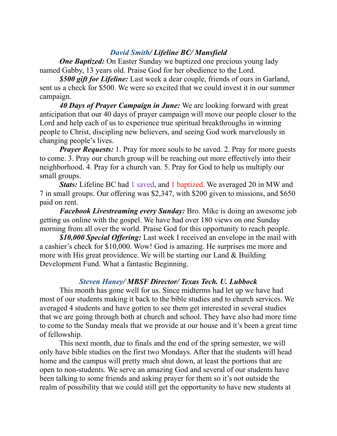# *David Smith/ Lifeline BC/ Mansfield*

*One Baptized:* On Easter Sunday we baptized one precious young lady named Gabby, 13 years old. Praise God for her obedience to the Lord.

*\$500 gift for Lifeline:* Last week a dear couple, friends of ours in Garland, sent us a check for \$500. We were so excited that we could invest it in our summer campaign.

 *40 Days of Prayer Campaign in June:* We are looking forward with great anticipation that our 40 days of prayer campaign will move our people closer to the Lord and help each of us to experience true spiritual breakthroughs in winning people to Christ, discipling new believers, and seeing God work marvelously in changing people's lives.

*Prayer Requests:* 1. Pray for more souls to be saved. 2. Pray for more guests to come. 3. Pray our church group will be reaching out more effectively into their neighborhood. 4. Pray for a church van. 5. Pray for God to help us multiply our small groups.

*Stats:* Lifeline BC had 1 saved, and 1 baptized. We averaged 20 in MW and 7 in small groups. Our offering was \$2,347, with \$200 given to missions, and \$650 paid on rent.

*Facebook Livestreaming every Sunday:* Bro. Mike is doing an awesome job getting us online with the gospel. We have had over 180 views on one Sunday morning from all over the world. Praise God for this opportunity to reach people.

*\$10,000 Special Offering:* Last week I received an envelope in the mail with a cashier's check for \$10,000. Wow! God is amazing. He surprises me more and more with His great providence. We will be starting our Land & Building Development Fund. What a fantastic Beginning.

## *Steven Haney/ MBSF Director/ Texas Tech. U. Lubbock*

 This month has gone well for us. Since midterms had let up we have had most of our students making it back to the bible studies and to church services. We averaged 4 students and have gotten to see them get interested in several studies that we are going through both at church and school. They have also had more time to come to the Sunday meals that we provide at our house and it's been a great time of fellowship.

 This next month, due to finals and the end of the spring semester, we will only have bible studies on the first two Mondays. After that the students will head home and the campus will pretty much shut down, at least the portions that are open to non-students. We serve an amazing God and several of our students have been talking to some friends and asking prayer for them so it's not outside the realm of possibility that we could still get the opportunity to have new students at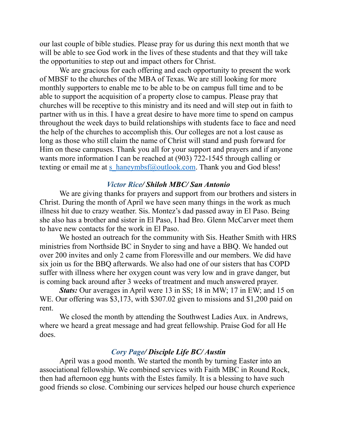our last couple of bible studies. Please pray for us during this next month that we will be able to see God work in the lives of these students and that they will take the opportunities to step out and impact others for Christ.

 We are gracious for each offering and each opportunity to present the work of MBSF to the churches of the MBA of Texas. We are still looking for more monthly supporters to enable me to be able to be on campus full time and to be able to support the acquisition of a property close to campus. Please pray that churches will be receptive to this ministry and its need and will step out in faith to partner with us in this. I have a great desire to have more time to spend on campus throughout the week days to build relationships with students face to face and need the help of the churches to accomplish this. Our colleges are not a lost cause as long as those who still claim the name of Christ will stand and push forward for Him on these campuses. Thank you all for your support and prayers and if anyone wants more information I can be reached at (903) 722-1545 through calling or texting or email me at [s\\_haneymbsf@outlook.com.](mailto:s_haneymbsf@outlook.com) Thank you and God bless!

## *Victor Rice/ Shiloh MBC/ San Antonio*

 We are giving thanks for prayers and support from our brothers and sisters in Christ. During the month of April we have seen many things in the work as much illness hit due to crazy weather. Sis. Montez's dad passed away in El Paso. Being she also has a brother and sister in El Paso, I had Bro. Glenn McCarver meet them to have new contacts for the work in El Paso.

 We hosted an outreach for the community with Sis. Heather Smith with HRS ministries from Northside BC in Snyder to sing and have a BBQ. We handed out over 200 invites and only 2 came from Floresville and our members. We did have six join us for the BBQ afterwards. We also had one of our sisters that has COPD suffer with illness where her oxygen count was very low and in grave danger, but is coming back around after 3 weeks of treatment and much answered prayer.

*Stats:* Our averages in April were 13 in SS; 18 in MW; 17 in EW; and 15 on WE. Our offering was \$3,173, with \$307.02 given to missions and \$1,200 paid on rent.

 We closed the month by attending the Southwest Ladies Aux. in Andrews, where we heard a great message and had great fellowship. Praise God for all He does.

### *Cory Page/ Disciple Life BC/ Austin*

 April was a good month. We started the month by turning Easter into an associational fellowship. We combined services with Faith MBC in Round Rock, then had afternoon egg hunts with the Estes family. It is a blessing to have such good friends so close. Combining our services helped our house church experience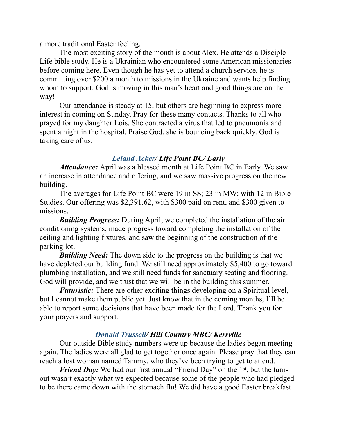a more traditional Easter feeling.

 The most exciting story of the month is about Alex. He attends a Disciple Life bible study. He is a Ukrainian who encountered some American missionaries before coming here. Even though he has yet to attend a church service, he is committing over \$200 a month to missions in the Ukraine and wants help finding whom to support. God is moving in this man's heart and good things are on the way!

 Our attendance is steady at 15, but others are beginning to express more interest in coming on Sunday. Pray for these many contacts. Thanks to all who prayed for my daughter Lois. She contracted a virus that led to pneumonia and spent a night in the hospital. Praise God, she is bouncing back quickly. God is taking care of us.

# *Leland Acker/ Life Point BC/ Early*

*Attendance:* April was a blessed month at Life Point BC in Early. We saw an increase in attendance and offering, and we saw massive progress on the new building.

 The averages for Life Point BC were 19 in SS; 23 in MW; with 12 in Bible Studies. Our offering was \$2,391.62, with \$300 paid on rent, and \$300 given to missions.

*Building Progress:* During April, we completed the installation of the air conditioning systems, made progress toward completing the installation of the ceiling and lighting fixtures, and saw the beginning of the construction of the parking lot.

*Building Need:* The down side to the progress on the building is that we have depleted our building fund. We still need approximately \$5,400 to go toward plumbing installation, and we still need funds for sanctuary seating and flooring. God will provide, and we trust that we will be in the building this summer.

*Futuristic:* There are other exciting things developing on a Spiritual level, but I cannot make them public yet. Just know that in the coming months, I'll be able to report some decisions that have been made for the Lord. Thank you for your prayers and support.

# *Donald Trussell/ Hill Country MBC/ Kerrville*

 Our outside Bible study numbers were up because the ladies began meeting again. The ladies were all glad to get together once again. Please pray that they can reach a lost woman named Tammy, who they've been trying to get to attend.

*Friend Day:* We had our first annual "Friend Day" on the 1<sup>st</sup>, but the turnout wasn't exactly what we expected because some of the people who had pledged to be there came down with the stomach flu! We did have a good Easter breakfast